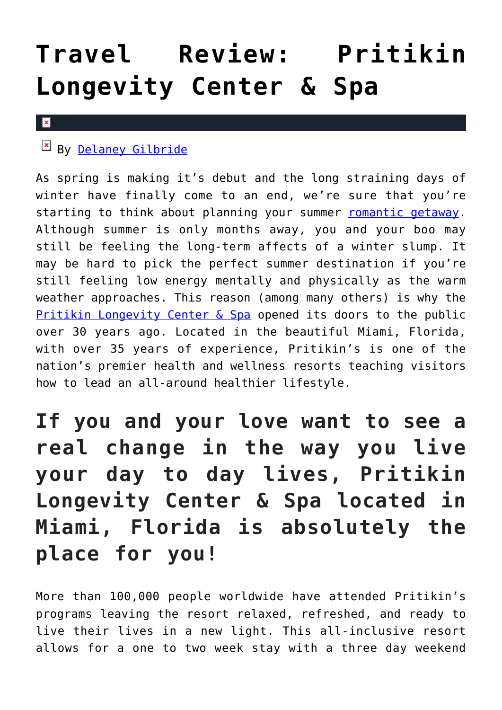## **[Travel Review: Pritikin](https://cupidspulse.com/117970/travel-review-pritikin-longevity-center-spa/) [Longevity Center & Spa](https://cupidspulse.com/117970/travel-review-pritikin-longevity-center-spa/)**

## $\vert \mathbf{x} \vert$

## $By$  [Delaney Gilbride](http://cupidspulse.com/116956/delaney-gilbride/)

As spring is making it's debut and the long straining days of winter have finally come to an end, we're sure that you're starting to think about planning your summer [romantic getaway.](http://cupidspulse.com/celebrity-news/celebrity-vacations/) Although summer is only months away, you and your boo may still be feeling the long-term affects of a winter slump. It may be hard to pick the perfect summer destination if you're still feeling low energy mentally and physically as the warm weather approaches. This reason (among many others) is why the [Pritikin Longevity Center & Spa](https://www.pritikin.com/) opened its doors to the public over 30 years ago. Located in the beautiful Miami, Florida, with over 35 years of experience, Pritikin's is one of the nation's premier health and wellness resorts teaching visitors how to lead an all-around healthier lifestyle.

**If you and your love want to see a real change in the way you live your day to day lives, Pritikin Longevity Center & Spa located in Miami, Florida is absolutely the place for you!**

More than 100,000 people worldwide have attended Pritikin's programs leaving the resort relaxed, refreshed, and ready to live their lives in a new light. This all-inclusive resort allows for a one to two week stay with a three day weekend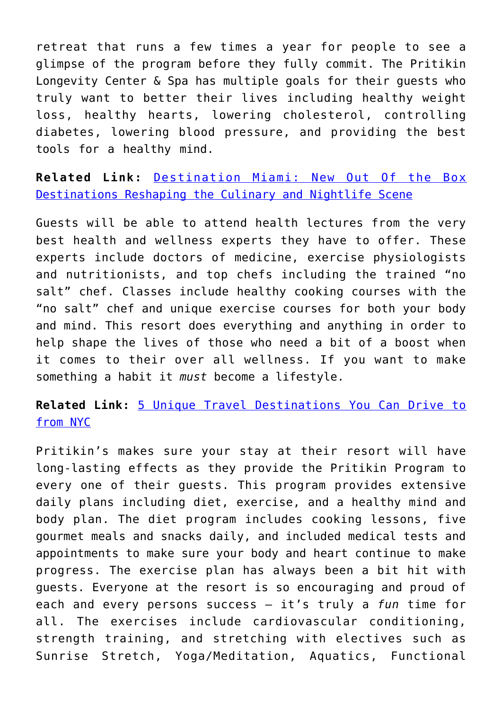retreat that runs a few times a year for people to see a glimpse of the program before they fully commit. The Pritikin Longevity Center & Spa has multiple goals for their guests who truly want to better their lives including healthy weight loss, healthy hearts, lowering cholesterol, controlling diabetes, lowering blood pressure, and providing the best tools for a healthy mind.

**Related Link:** [Destination Miami: New Out Of the Box](http://cupidspulse.com/117082/destination-miami-new-destinations-reshaping-culinary-nightlife-scene/) [Destinations Reshaping the Culinary and Nightlife Scene](http://cupidspulse.com/117082/destination-miami-new-destinations-reshaping-culinary-nightlife-scene/)

Guests will be able to attend health lectures from the very best health and wellness experts they have to offer. These experts include doctors of medicine, exercise physiologists and nutritionists, and top chefs including the trained "no salt" chef. Classes include healthy cooking courses with the "no salt" chef and unique exercise courses for both your body and mind. This resort does everything and anything in order to help shape the lives of those who need a bit of a boost when it comes to their over all wellness. If you want to make something a habit it *must* become a lifestyle.

**Related Link:** [5 Unique Travel Destinations You Can Drive to](http://cupidspulse.com/117420/unique-travel-destinations-nyc-luxury-popular-vacation/) [from NYC](http://cupidspulse.com/117420/unique-travel-destinations-nyc-luxury-popular-vacation/)

Pritikin's makes sure your stay at their resort will have long-lasting effects as they provide the Pritikin Program to every one of their guests. This program provides extensive daily plans including diet, exercise, and a healthy mind and body plan. The diet program includes cooking lessons, five gourmet meals and snacks daily, and included medical tests and appointments to make sure your body and heart continue to make progress. The exercise plan has always been a bit hit with guests. Everyone at the resort is so encouraging and proud of each and every persons success – it's truly a *fun* time for all. The exercises include cardiovascular conditioning, strength training, and stretching with electives such as Sunrise Stretch, Yoga/Meditation, Aquatics, Functional